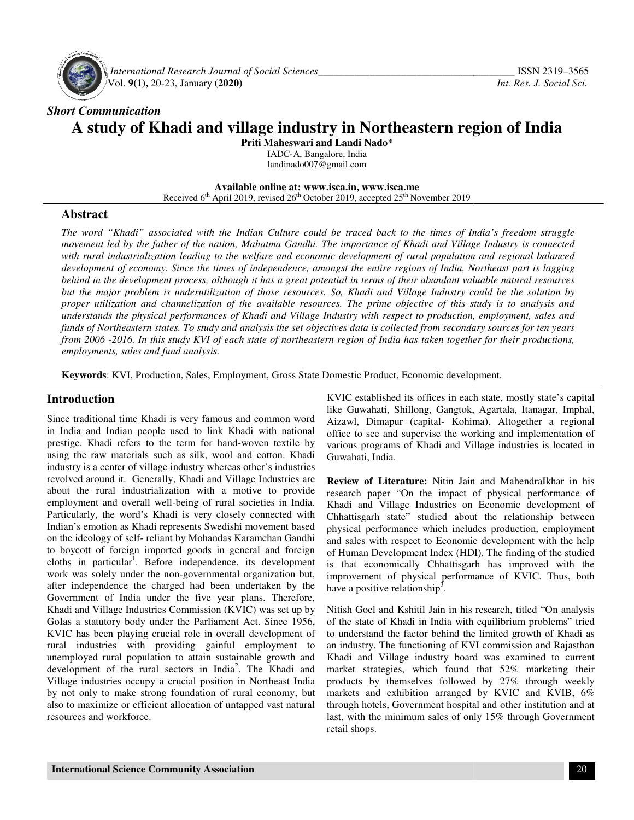

 *International Research Journal Journal of Social Sciences\_\_\_\_\_\_\_\_\_\_\_\_\_\_\_\_\_\_\_\_\_\_\_\_\_\_\_\_\_\_\_\_\_\_\_* Vol. **9(1),** 20-23, January **(2020)**

# *Short Communication*  **A study of Khadi and village industry in Northeastern region of India study of**

**Priti Maheswari and Landi Nado\*** 

IADC-A, Bangalore, India landinado007@gmail.com

**Available Available online at: www.isca.in, www.isca.me**  Received 6<sup>th</sup> April 2019, revised 26<sup>th</sup> October 2019, accepted 25<sup>th</sup> November 2019

# **Abstract**

*The word "Khadi" associated with the Indian Culture could be traced back to the times of India's freedom struggle movement led by the father of the nation, Mahatma Gandhi. The importance of Khadi and Village Industry is connected*  with rural industrialization leading to the welfare and economic development of rural population and regional balanced *development of economy. Since the times of independence, amongst the entire regions of India, Northeast part is lagging behind in the development process, although it has a great potential in terms of their abundant valuable natural resources but the major problem is underutilization of those resources. So, Khadi and Village Industry could be the solution by proper utilization and channelization of the available resources. The prime objective of this study is to analysis and*  understands the physical performances of Khadi and Village Industry with respect to production, employment, sales and *funds of Northeastern states. To study and analysis the set objectives data is collected from secondary sources for ten years* understands the physical performances of Khadi and Village Industry with respect to production, employment, sales and<br>funds of Northeastern states. To study and analysis the set objectives data is collected from secondary *employments, sales and fund analysis.*  "Khadi" associated with the Indian Culture could be traced back to the times of India's freedom struggle<br>led by the father of the nation, Mahatma Gandhi. The importance of Khadi and Village Industry is connected<br>industrial

**Keywords**: KVI, Production, Sales, Employment, Gross State Domestic Product, Economic development.

#### **Introduction**

Since traditional time Khadi is very famous and common word in India and Indian people used to link Khadi with national **Keywords:** KVI, Production, Sales, Employment, Gross State<br> **Introduction**<br>
Since traditional time Khadi is very famous and common word<br>
in India and Indian people used to link Khadi with national<br>
prestige. Khadi refers using the raw materials such as silk, wool and cotton. Khadi industry is a center of village industry whereas other's industries revolved around it. Generally, Khadi and Village Industries are about the rural industrialization with a motive to provide employment and overall well-being of rural societies in India. Particularly, the word's Khadi is very closely connected with Indian's emotion as Khadi represents Swedishi movement based on the ideology of self- reliant by Mohandas Karamchan Gandhi to boycott of foreign imported goods in general and foreign cloths in particular<sup>1</sup>. Before independence, its development work was solely under the non-governmental organization but, after independence the charged had been undertaken by the Government of India under the five year plans. Therefore, Khadi and Village Industries Commission (KVIC) was set up by GoIas a statutory body under the Parliament Act. Since 1956, KVIC has been playing crucial role in overall development of rural industries with providing gainful employment to unemployed rural population to attain sustainable growth and development of the rural sectors in India<sup>2</sup>. The Khadi and Village industries occupy a crucial position in Northeast India by not only to make strong foundation of rural economy, but also to maximize or efficient allocation of untapped vast natural resources and workforce. using the raw materials such as silk, wool and cotton. Khadi industry is a center of village industry whereas other's industries revolved around it. Generally, Khadi and Village Industries are about the rural industrializa tory body under the Parliament Act. Since 1956,<br>een playing crucial role in overall development of<br>ries with providing gainful employment to<br>rural population to attain sustainable growth and<br>of the rural sectors in India<sup>2</sup> **interion**<br> **Example the strong of the strong of the Constablished is office some and state. The matter strong compart<br>
and Indian prople used to link Khadi with national**  $\alpha$ **<br>
<b>Example 1.** Exhinal, Inanger (apital Kohima

like Guwahati, Shillong, Gangtok, Agartala, Itanagar, Imphal, Aizawl, Dimapur (capital- Kohima). Altogether a regional office to see and supervise the working and implementat various programs of Khadi and Village industries is located in Guwahati, India. KVIC established its offices in each state, mostly state's capital<br>like Guwahati, Shillong, Gangtok, Agartala, Itanagar, Imphal,<br>Aizawl, Dimapur (capital-Kohima). Altogether a regional<br>office to see and supervise the worki

**Review of Literature:** Nitin Jain and MahendraIkhar in his research paper "On the impact of physical performance of research paper "On the impact of physical performance of Khadi and Village Industries on Economic development of Chhattisgarh state" studied about the relationship between physical performance which includes production, employment and sales with respect to Economic development with the help of Human Development Index (HDI). The finding of the studied is that economically Chhattisgarh has improved with the improvement of physical performance of KVIC. Thus, both have a positive relationship<sup>3</sup>. and sales with respect to Economic development with the help<br>of Human Development Index (HDI). The finding of the studied<br>is that economically Chhattisgarh has improved with the<br>improvement of physical performance of KVIC.

Nitish Goel and Kshitil Jain in his research, titled "On analysis of the state of Khadi in India with equilibrium problems" tried to understand the factor behind the limited growth of Khadi as an industry. The functioning of KVI commission and Rajasthan Khadi and Village industry board was examined to current market strategies, which found that 52% marketing their products by themselves followed by 27% through weekly markets and exhibition arranged by KVIC and KVIB, 6% through hotels, Government hospital and other institution and at last, with the minimum sales of only 15% through Government retail shops. of the state of Khadi in India with equilibrium problems" tried<br>to understand the factor behind the limited growth of Khadi as<br>an industry. The functioning of KVI commission and Rajasthan<br>Khadi and Village industry board w products by themselves followed by 27% through weekly<br>markets and exhibition arranged by KVIC and KVIB, 6%<br>through hotels, Government hospital and other institution and at<br>last, with the minimum sales of only 15% through G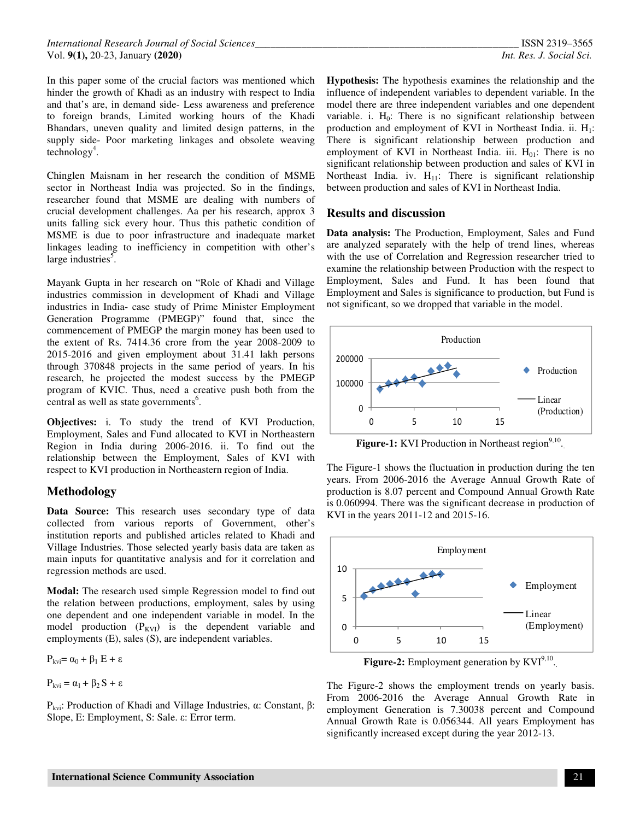In this paper some of the crucial factors was mentioned which hinder the growth of Khadi as an industry with respect to India and that's are, in demand side- Less awareness and preference to foreign brands, Limited working hours of the Khadi Bhandars, uneven quality and limited design patterns, in the supply side- Poor marketing linkages and obsolete weaving  $technology<sup>4</sup>$ .

Chinglen Maisnam in her research the condition of MSME sector in Northeast India was projected. So in the findings, researcher found that MSME are dealing with numbers of crucial development challenges. Aa per his research, approx 3 units falling sick every hour. Thus this pathetic condition of MSME is due to poor infrastructure and inadequate market linkages leading to inefficiency in competition with other's large industries<sup>5</sup>.

Mayank Gupta in her research on "Role of Khadi and Village industries commission in development of Khadi and Village industries in India- case study of Prime Minister Employment Generation Programme (PMEGP)" found that, since the commencement of PMEGP the margin money has been used to the extent of Rs. 7414.36 crore from the year 2008-2009 to 2015-2016 and given employment about 31.41 lakh persons through 370848 projects in the same period of years. In his research, he projected the modest success by the PMEGP program of KVIC. Thus, need a creative push both from the central as well as state governments<sup>6</sup>.

**Objectives:** i. To study the trend of KVI Production, Employment, Sales and Fund allocated to KVI in Northeastern Region in India during 2006-2016. ii. To find out the relationship between the Employment, Sales of KVI with respect to KVI production in Northeastern region of India.

#### **Methodology**

**Data Source:** This research uses secondary type of data collected from various reports of Government, other's institution reports and published articles related to Khadi and Village Industries. Those selected yearly basis data are taken as main inputs for quantitative analysis and for it correlation and regression methods are used.

**Modal:** The research used simple Regression model to find out the relation between productions, employment, sales by using one dependent and one independent variable in model. In the model production  $(P_{KVI})$  is the dependent variable and employments (E), sales (S), are independent variables.

 $P_{kvi} = \alpha_0 + \beta_1 E + \varepsilon$ 

 $P_{kvi} = \alpha_1 + \beta_2 S + \varepsilon$ 

Pkvi: Production of Khadi and Village Industries, α: Constant, β: Slope, E: Employment, S: Sale. ε: Error term.

**Hypothesis:** The hypothesis examines the relationship and the influence of independent variables to dependent variable. In the model there are three independent variables and one dependent variable. i.  $H_0$ : There is no significant relationship between production and employment of KVI in Northeast India. ii. H<sub>1</sub>: There is significant relationship between production and employment of KVI in Northeast India. iii.  $H_{01}$ : There is no significant relationship between production and sales of KVI in Northeast India. iv.  $H_{11}$ : There is significant relationship between production and sales of KVI in Northeast India.

# **Results and discussion**

**Data analysis:** The Production, Employment, Sales and Fund are analyzed separately with the help of trend lines, whereas with the use of Correlation and Regression researcher tried to examine the relationship between Production with the respect to Employment, Sales and Fund. It has been found that Employment and Sales is significance to production, but Fund is not significant, so we dropped that variable in the model.



**Figure-1:** KVI Production in Northeast region<sup>9,10</sup>.

The Figure-1 shows the fluctuation in production during the ten years. From 2006-2016 the Average Annual Growth Rate of production is 8.07 percent and Compound Annual Growth Rate is 0.060994. There was the significant decrease in production of KVI in the years 2011-12 and 2015-16.



**Figure-2:** Employment generation by  $KVI^{9,10}$ .

The Figure-2 shows the employment trends on yearly basis. From 2006-2016 the Average Annual Growth Rate in employment Generation is 7.30038 percent and Compound Annual Growth Rate is 0.056344. All years Employment has significantly increased except during the year 2012-13.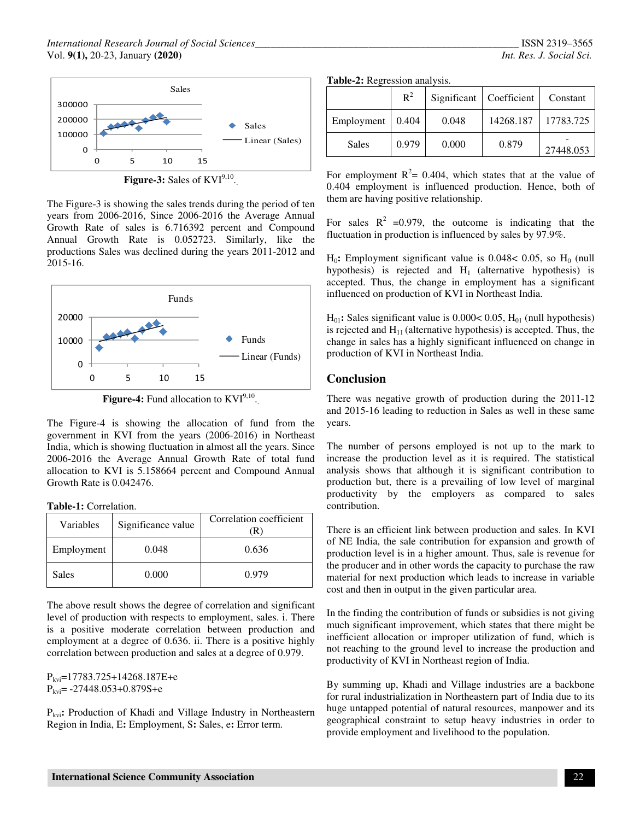

**Figure-3:** Sales of  $KVI^{9,10}$ .

The Figure-3 is showing the sales trends during the period of ten years from 2006-2016, Since 2006-2016 the Average Annual Growth Rate of sales is 6.716392 percent and Compound Annual Growth Rate is 0.052723. Similarly, like the productions Sales was declined during the years 2011-2012 and 2015-16.



**Figure-4:** Fund allocation to  $KVI^{9,10}$ .

The Figure-4 is showing the allocation of fund from the government in KVI from the years (2006-2016) in Northeast India, which is showing fluctuation in almost all the years. Since 2006-2016 the Average Annual Growth Rate of total fund allocation to KVI is 5.158664 percent and Compound Annual Growth Rate is 0.042476.

**Table-1:** Correlation.

| Variables  | Significance value | Correlation coefficient |
|------------|--------------------|-------------------------|
| Employment | 0.048              | 0.636                   |
| Sales      | 0.000              | 0.979                   |

The above result shows the degree of correlation and significant level of production with respects to employment, sales. i. There is a positive moderate correlation between production and employment at a degree of 0.636. ii. There is a positive highly correlation between production and sales at a degree of 0.979.

 $P_{kvi}=17783.725+14268.187E+e$  $P_{kvi}$ = -27448.053+0.879S+e

Pkvi**:** Production of Khadi and Village Industry in Northeastern Region in India, E**:** Employment, S**:** Sales, e**:** Error term.

|  |                          | ISSN 2319-3565 |
|--|--------------------------|----------------|
|  | Int. Res. J. Social Sci. |                |

|  |  |  | Table-2: Regression analysis. |  |
|--|--|--|-------------------------------|--|
|--|--|--|-------------------------------|--|

|            | $R^2$ | Significant | Coefficient | Constant  |
|------------|-------|-------------|-------------|-----------|
| Employment | 0.404 | 0.048       | 14268.187   | 17783.725 |
| Sales      | 0.979 | 0.000       | 0.879       | 27448.053 |

For employment  $R^2 = 0.404$ , which states that at the value of 0.404 employment is influenced production. Hence, both of them are having positive relationship.

For sales  $R^2$  =0.979, the outcome is indicating that the fluctuation in production is influenced by sales by 97.9%.

 $H_0$ : Employment significant value is 0.048< 0.05, so  $H_0$  (null hypothesis) is rejected and  $H_1$  (alternative hypothesis) is accepted. Thus, the change in employment has a significant influenced on production of KVI in Northeast India.

 $H<sub>01</sub>$ : Sales significant value is  $0.000 < 0.05$ ,  $H<sub>01</sub>$  (null hypothesis) is rejected and  $H_{11}$  (alternative hypothesis) is accepted. Thus, the change in sales has a highly significant influenced on change in production of KVI in Northeast India.

# **Conclusion**

There was negative growth of production during the 2011-12 and 2015-16 leading to reduction in Sales as well in these same years.

The number of persons employed is not up to the mark to increase the production level as it is required. The statistical analysis shows that although it is significant contribution to production but, there is a prevailing of low level of marginal productivity by the employers as compared to sales contribution.

There is an efficient link between production and sales. In KVI of NE India, the sale contribution for expansion and growth of production level is in a higher amount. Thus, sale is revenue for the producer and in other words the capacity to purchase the raw material for next production which leads to increase in variable cost and then in output in the given particular area.

In the finding the contribution of funds or subsidies is not giving much significant improvement, which states that there might be inefficient allocation or improper utilization of fund, which is not reaching to the ground level to increase the production and productivity of KVI in Northeast region of India.

By summing up, Khadi and Village industries are a backbone for rural industrialization in Northeastern part of India due to its huge untapped potential of natural resources, manpower and its geographical constraint to setup heavy industries in order to provide employment and livelihood to the population.